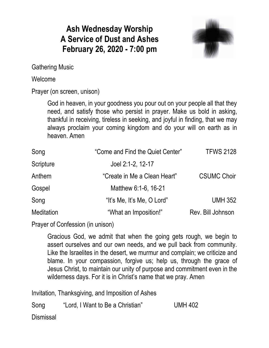## **Ash Wednesday Worship A Service of Dust and Ashes February 26, 2020 - 7:00 pm**



Gathering Music

### Welcome

Prayer (on screen, unison)

God in heaven, in your goodness you pour out on your people all that they need, and satisfy those who persist in prayer. Make us bold in asking, thankful in receiving, tireless in seeking, and joyful in finding, that we may always proclaim your coming kingdom and do your will on earth as in heaven. Amen

| Song              | "Come and Find the Quiet Center" | <b>TFWS 2128</b>   |
|-------------------|----------------------------------|--------------------|
| Scripture         | Joel 2:1-2, 12-17                |                    |
| Anthem            | "Create in Me a Clean Heart"     | <b>CSUMC Choir</b> |
| Gospel            | Matthew 6:1-6, 16-21             |                    |
| Song              | "It's Me, It's Me, O Lord"       | <b>UMH 352</b>     |
| <b>Meditation</b> | "What an Imposition!"            | Rev. Bill Johnson  |

Prayer of Confession (in unison)

Gracious God, we admit that when the going gets rough, we begin to assert ourselves and our own needs, and we pull back from community. Like the Israelites in the desert, we murmur and complain; we criticize and blame. In your compassion, forgive us; help us, through the grace of Jesus Christ, to maintain our unity of purpose and commitment even in the wilderness days. For it is in Christ's name that we pray. Amen

Invitation, Thanksgiving, and Imposition of Ashes Song "Lord, I Want to Be a Christian" UMH 402 **Dismissal**